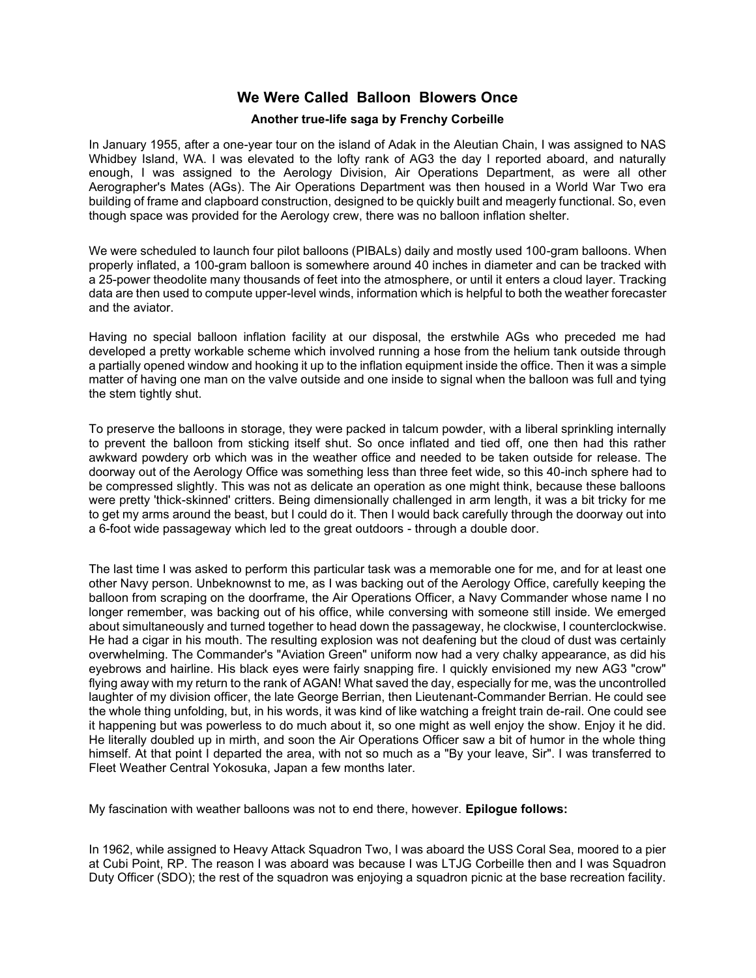## **We Were Called Balloon Blowers Once**

## **Another true-life saga by Frenchy Corbeille**

In January 1955, after a one-year tour on the island of Adak in the Aleutian Chain, I was assigned to NAS Whidbey Island, WA. I was elevated to the lofty rank of AG3 the day I reported aboard, and naturally enough, I was assigned to the Aerology Division, Air Operations Department, as were all other Aerographer's Mates (AGs). The Air Operations Department was then housed in a World War Two era building of frame and clapboard construction, designed to be quickly built and meagerly functional. So, even though space was provided for the Aerology crew, there was no balloon inflation shelter.

We were scheduled to launch four pilot balloons (PIBALs) daily and mostly used 100-gram balloons. When properly inflated, a 100-gram balloon is somewhere around 40 inches in diameter and can be tracked with a 25-power theodolite many thousands of feet into the atmosphere, or until it enters a cloud layer. Tracking data are then used to compute upper-level winds, information which is helpful to both the weather forecaster and the aviator.

Having no special balloon inflation facility at our disposal, the erstwhile AGs who preceded me had developed a pretty workable scheme which involved running a hose from the helium tank outside through a partially opened window and hooking it up to the inflation equipment inside the office. Then it was a simple matter of having one man on the valve outside and one inside to signal when the balloon was full and tying the stem tightly shut.

To preserve the balloons in storage, they were packed in talcum powder, with a liberal sprinkling internally to prevent the balloon from sticking itself shut. So once inflated and tied off, one then had this rather awkward powdery orb which was in the weather office and needed to be taken outside for release. The doorway out of the Aerology Office was something less than three feet wide, so this 40-inch sphere had to be compressed slightly. This was not as delicate an operation as one might think, because these balloons were pretty 'thick-skinned' critters. Being dimensionally challenged in arm length, it was a bit tricky for me to get my arms around the beast, but I could do it. Then I would back carefully through the doorway out into a 6-foot wide passageway which led to the great outdoors - through a double door.

The last time I was asked to perform this particular task was a memorable one for me, and for at least one other Navy person. Unbeknownst to me, as I was backing out of the Aerology Office, carefully keeping the balloon from scraping on the doorframe, the Air Operations Officer, a Navy Commander whose name I no longer remember, was backing out of his office, while conversing with someone still inside. We emerged about simultaneously and turned together to head down the passageway, he clockwise, I counterclockwise. He had a cigar in his mouth. The resulting explosion was not deafening but the cloud of dust was certainly overwhelming. The Commander's "Aviation Green" uniform now had a very chalky appearance, as did his eyebrows and hairline. His black eyes were fairly snapping fire. I quickly envisioned my new AG3 "crow" flying away with my return to the rank of AGAN! What saved the day, especially for me, was the uncontrolled laughter of my division officer, the late George Berrian, then Lieutenant-Commander Berrian. He could see the whole thing unfolding, but, in his words, it was kind of like watching a freight train de-rail. One could see it happening but was powerless to do much about it, so one might as well enjoy the show. Enjoy it he did. He literally doubled up in mirth, and soon the Air Operations Officer saw a bit of humor in the whole thing himself. At that point I departed the area, with not so much as a "By your leave, Sir". I was transferred to Fleet Weather Central Yokosuka, Japan a few months later.

My fascination with weather balloons was not to end there, however. **Epilogue follows:**

In 1962, while assigned to Heavy Attack Squadron Two, I was aboard the USS Coral Sea, moored to a pier at Cubi Point, RP. The reason I was aboard was because I was LTJG Corbeille then and I was Squadron Duty Officer (SDO); the rest of the squadron was enjoying a squadron picnic at the base recreation facility.